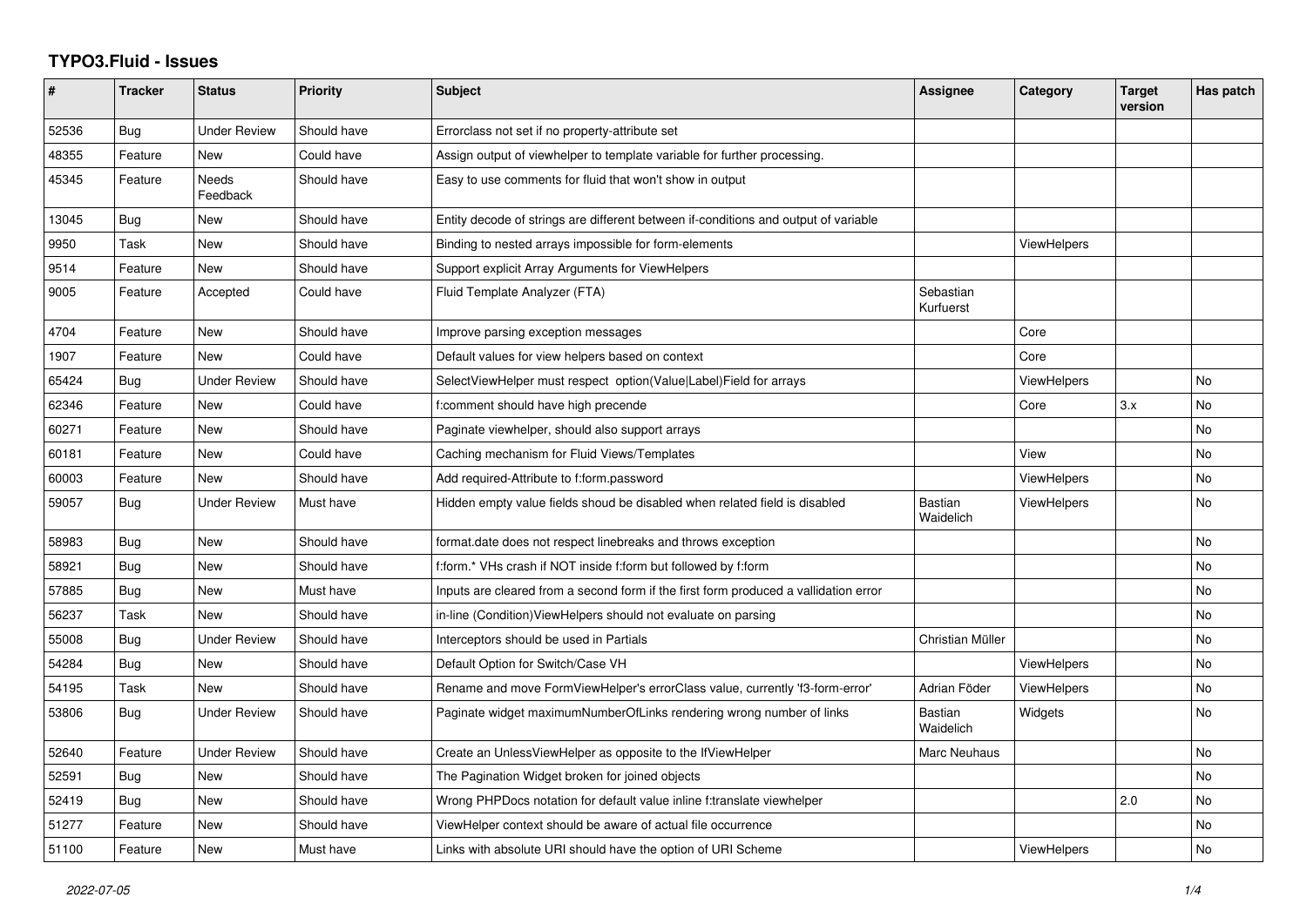## **TYPO3.Fluid - Issues**

| $\sharp$ | <b>Tracker</b> | <b>Status</b>       | <b>Priority</b> | <b>Subject</b>                                                                       | Assignee               | Category           | <b>Target</b><br>version | Has patch |
|----------|----------------|---------------------|-----------------|--------------------------------------------------------------------------------------|------------------------|--------------------|--------------------------|-----------|
| 52536    | Bug            | Under Review        | Should have     | Errorclass not set if no property-attribute set                                      |                        |                    |                          |           |
| 48355    | Feature        | <b>New</b>          | Could have      | Assign output of viewhelper to template variable for further processing.             |                        |                    |                          |           |
| 45345    | Feature        | Needs<br>Feedback   | Should have     | Easy to use comments for fluid that won't show in output                             |                        |                    |                          |           |
| 13045    | Bug            | New                 | Should have     | Entity decode of strings are different between if-conditions and output of variable  |                        |                    |                          |           |
| 9950     | Task           | New                 | Should have     | Binding to nested arrays impossible for form-elements                                |                        | <b>ViewHelpers</b> |                          |           |
| 9514     | Feature        | <b>New</b>          | Should have     | Support explicit Array Arguments for ViewHelpers                                     |                        |                    |                          |           |
| 9005     | Feature        | Accepted            | Could have      | Fluid Template Analyzer (FTA)                                                        | Sebastian<br>Kurfuerst |                    |                          |           |
| 4704     | Feature        | New                 | Should have     | Improve parsing exception messages                                                   |                        | Core               |                          |           |
| 1907     | Feature        | New                 | Could have      | Default values for view helpers based on context                                     |                        | Core               |                          |           |
| 65424    | Bug            | <b>Under Review</b> | Should have     | SelectViewHelper must respect option(Value Label)Field for arrays                    |                        | <b>ViewHelpers</b> |                          | No        |
| 62346    | Feature        | New                 | Could have      | f:comment should have high precende                                                  |                        | Core               | 3.x                      | No        |
| 60271    | Feature        | New                 | Should have     | Paginate viewhelper, should also support arrays                                      |                        |                    |                          | No        |
| 60181    | Feature        | New                 | Could have      | Caching mechanism for Fluid Views/Templates                                          |                        | View               |                          | No        |
| 60003    | Feature        | New                 | Should have     | Add required-Attribute to f:form.password                                            |                        | <b>ViewHelpers</b> |                          | No        |
| 59057    | Bug            | Under Review        | Must have       | Hidden empty value fields shoud be disabled when related field is disabled           | Bastian<br>Waidelich   | ViewHelpers        |                          | No        |
| 58983    | <b>Bug</b>     | New                 | Should have     | format.date does not respect linebreaks and throws exception                         |                        |                    |                          | <b>No</b> |
| 58921    | Bug            | New                 | Should have     | f:form.* VHs crash if NOT inside f:form but followed by f:form                       |                        |                    |                          | <b>No</b> |
| 57885    | Bug            | <b>New</b>          | Must have       | Inputs are cleared from a second form if the first form produced a vallidation error |                        |                    |                          | No        |
| 56237    | Task           | New                 | Should have     | in-line (Condition) View Helpers should not evaluate on parsing                      |                        |                    |                          | <b>No</b> |
| 55008    | Bug            | Under Review        | Should have     | Interceptors should be used in Partials                                              | Christian Müller       |                    |                          | No        |
| 54284    | <b>Bug</b>     | New                 | Should have     | Default Option for Switch/Case VH                                                    |                        | <b>ViewHelpers</b> |                          | No.       |
| 54195    | Task           | New                 | Should have     | Rename and move FormViewHelper's errorClass value, currently 'f3-form-error'         | Adrian Föder           | <b>ViewHelpers</b> |                          | <b>No</b> |
| 53806    | Bug            | Under Review        | Should have     | Paginate widget maximumNumberOfLinks rendering wrong number of links                 | Bastian<br>Waidelich   | Widgets            |                          | No        |
| 52640    | Feature        | Under Review        | Should have     | Create an UnlessViewHelper as opposite to the IfViewHelper                           | Marc Neuhaus           |                    |                          | No        |
| 52591    | <b>Bug</b>     | New                 | Should have     | The Pagination Widget broken for joined objects                                      |                        |                    |                          | <b>No</b> |
| 52419    | Bug            | New                 | Should have     | Wrong PHPDocs notation for default value inline f:translate viewhelper               |                        |                    | 2.0                      | No        |
| 51277    | Feature        | New                 | Should have     | ViewHelper context should be aware of actual file occurrence                         |                        |                    |                          | No        |
| 51100    | Feature        | <b>New</b>          | Must have       | Links with absolute URI should have the option of URI Scheme                         |                        | <b>ViewHelpers</b> |                          | No        |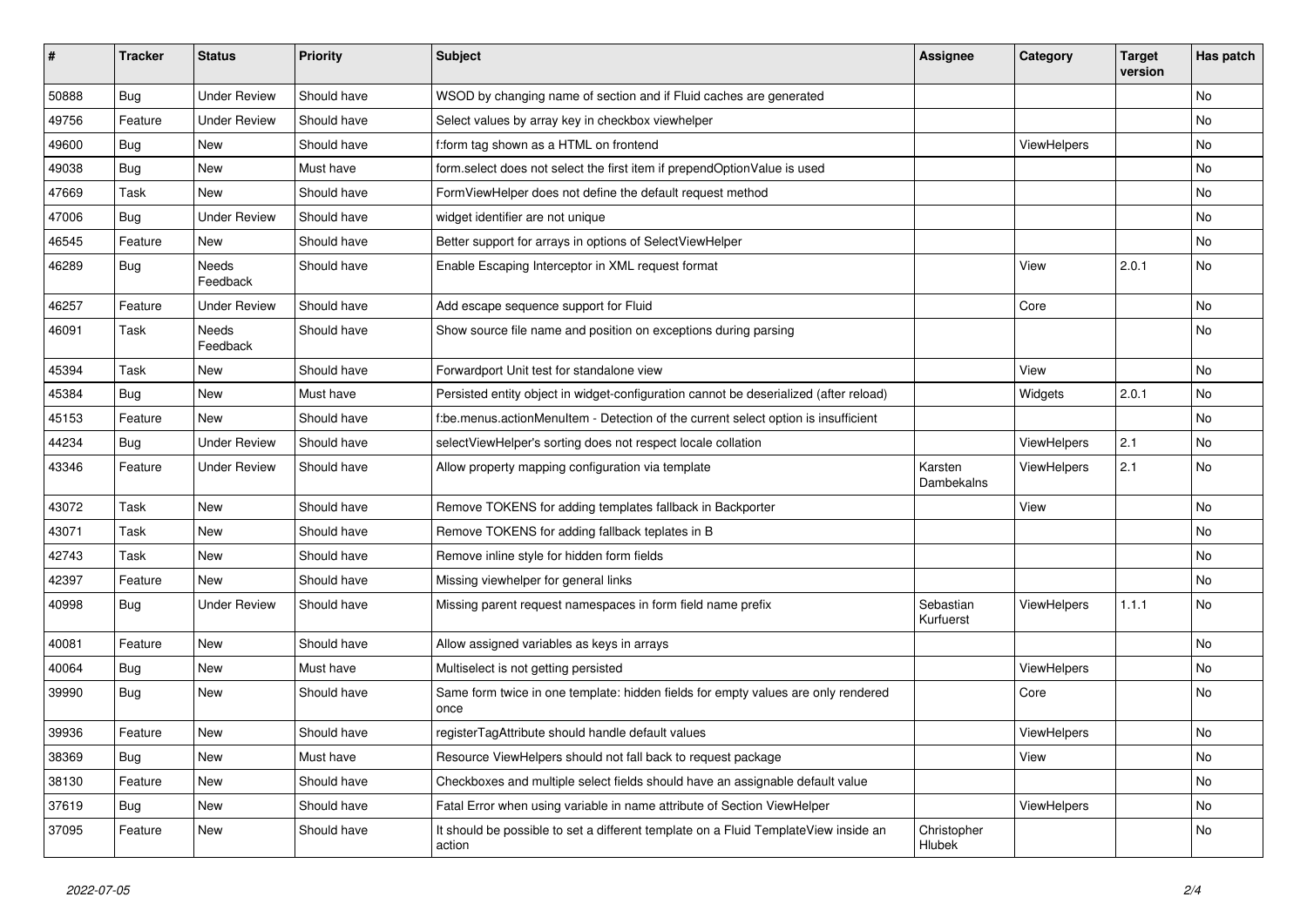| ∦     | <b>Tracker</b> | <b>Status</b>            | <b>Priority</b> | Subject                                                                                       | Assignee               | Category    | <b>Target</b><br>version | Has patch |
|-------|----------------|--------------------------|-----------------|-----------------------------------------------------------------------------------------------|------------------------|-------------|--------------------------|-----------|
| 50888 | Bug            | <b>Under Review</b>      | Should have     | WSOD by changing name of section and if Fluid caches are generated                            |                        |             |                          | No        |
| 49756 | Feature        | Under Review             | Should have     | Select values by array key in checkbox viewhelper                                             |                        |             |                          | No        |
| 49600 | <b>Bug</b>     | New                      | Should have     | f:form tag shown as a HTML on frontend                                                        |                        | ViewHelpers |                          | No        |
| 49038 | Bug            | New                      | Must have       | form.select does not select the first item if prependOptionValue is used                      |                        |             |                          | No        |
| 47669 | Task           | New                      | Should have     | FormViewHelper does not define the default request method                                     |                        |             |                          | No        |
| 47006 | Bug            | <b>Under Review</b>      | Should have     | widget identifier are not unique                                                              |                        |             |                          | No        |
| 46545 | Feature        | New                      | Should have     | Better support for arrays in options of SelectViewHelper                                      |                        |             |                          | No        |
| 46289 | <b>Bug</b>     | Needs<br>Feedback        | Should have     | Enable Escaping Interceptor in XML request format                                             |                        | View        | 2.0.1                    | No        |
| 46257 | Feature        | Under Review             | Should have     | Add escape sequence support for Fluid                                                         |                        | Core        |                          | No        |
| 46091 | Task           | <b>Needs</b><br>Feedback | Should have     | Show source file name and position on exceptions during parsing                               |                        |             |                          | No        |
| 45394 | Task           | New                      | Should have     | Forwardport Unit test for standalone view                                                     |                        | View        |                          | No        |
| 45384 | <b>Bug</b>     | <b>New</b>               | Must have       | Persisted entity object in widget-configuration cannot be deserialized (after reload)         |                        | Widgets     | 2.0.1                    | <b>No</b> |
| 45153 | Feature        | New                      | Should have     | f:be.menus.actionMenuItem - Detection of the current select option is insufficient            |                        |             |                          | No        |
| 44234 | <b>Bug</b>     | <b>Under Review</b>      | Should have     | selectViewHelper's sorting does not respect locale collation                                  |                        | ViewHelpers | 2.1                      | No        |
| 43346 | Feature        | <b>Under Review</b>      | Should have     | Allow property mapping configuration via template                                             | Karsten<br>Dambekalns  | ViewHelpers | 2.1                      | No        |
| 43072 | Task           | New                      | Should have     | Remove TOKENS for adding templates fallback in Backporter                                     |                        | View        |                          | No        |
| 43071 | Task           | New                      | Should have     | Remove TOKENS for adding fallback teplates in B                                               |                        |             |                          | No        |
| 42743 | Task           | New                      | Should have     | Remove inline style for hidden form fields                                                    |                        |             |                          | No        |
| 42397 | Feature        | New                      | Should have     | Missing viewhelper for general links                                                          |                        |             |                          | No        |
| 40998 | <b>Bug</b>     | <b>Under Review</b>      | Should have     | Missing parent request namespaces in form field name prefix                                   | Sebastian<br>Kurfuerst | ViewHelpers | 1.1.1                    | No        |
| 40081 | Feature        | New                      | Should have     | Allow assigned variables as keys in arrays                                                    |                        |             |                          | No        |
| 40064 | <b>Bug</b>     | New                      | Must have       | Multiselect is not getting persisted                                                          |                        | ViewHelpers |                          | No        |
| 39990 | <b>Bug</b>     | New                      | Should have     | Same form twice in one template: hidden fields for empty values are only rendered<br>once     |                        | Core        |                          | No        |
| 39936 | Feature        | New                      | Should have     | registerTagAttribute should handle default values                                             |                        | ViewHelpers |                          | No        |
| 38369 | Bug            | New                      | Must have       | Resource ViewHelpers should not fall back to request package                                  |                        | View        |                          | No        |
| 38130 | Feature        | New                      | Should have     | Checkboxes and multiple select fields should have an assignable default value                 |                        |             |                          | No        |
| 37619 | Bug            | New                      | Should have     | Fatal Error when using variable in name attribute of Section ViewHelper                       |                        | ViewHelpers |                          | No        |
| 37095 | Feature        | New                      | Should have     | It should be possible to set a different template on a Fluid TemplateView inside an<br>action | Christopher<br>Hlubek  |             |                          | No        |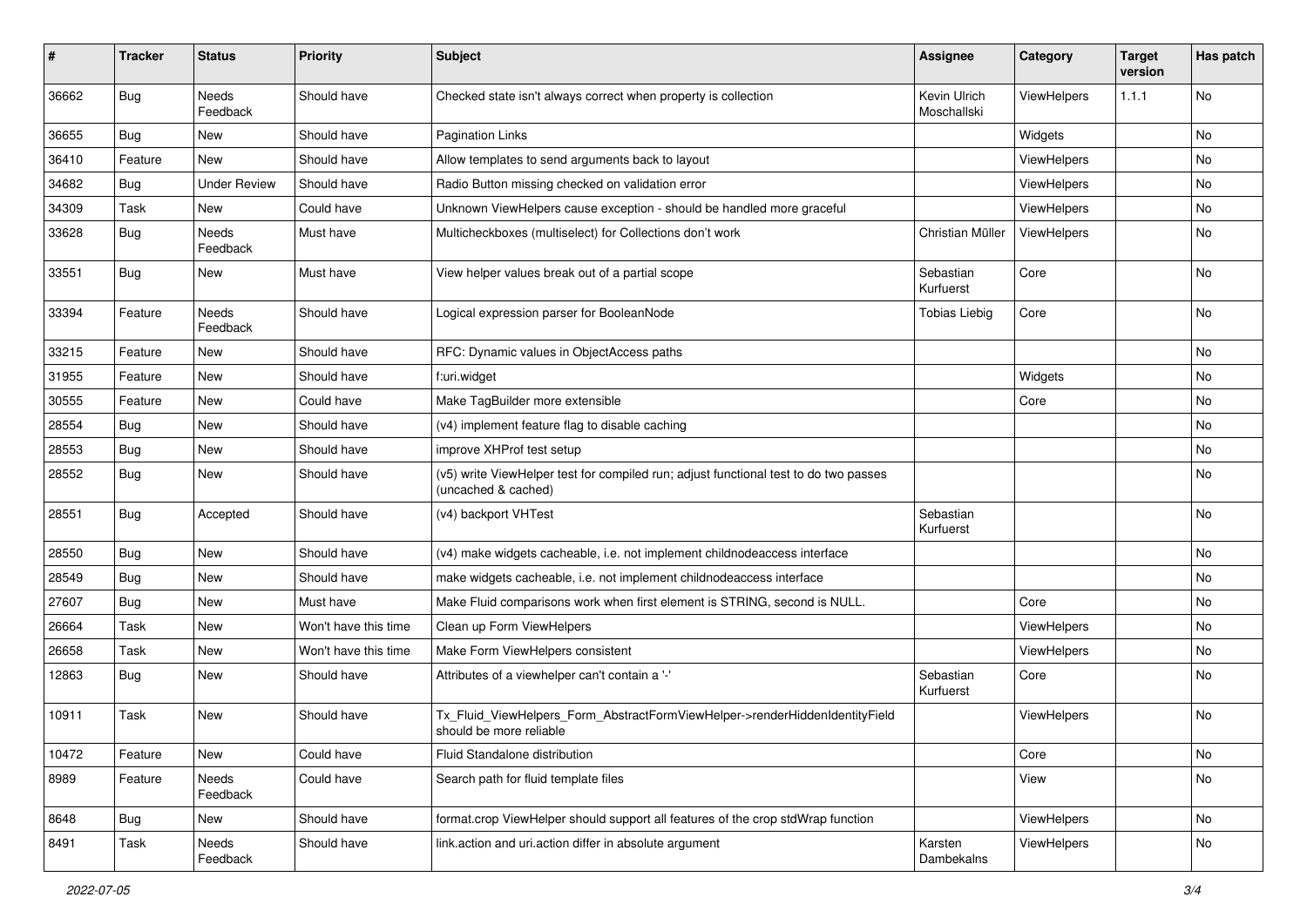| #     | <b>Tracker</b> | <b>Status</b>            | <b>Priority</b>      | <b>Subject</b>                                                                                              | <b>Assignee</b>             | Category           | <b>Target</b><br>version | Has patch |
|-------|----------------|--------------------------|----------------------|-------------------------------------------------------------------------------------------------------------|-----------------------------|--------------------|--------------------------|-----------|
| 36662 | Bug            | <b>Needs</b><br>Feedback | Should have          | Checked state isn't always correct when property is collection                                              | Kevin Ulrich<br>Moschallski | ViewHelpers        | 1.1.1                    | No        |
| 36655 | Bug            | New                      | Should have          | <b>Pagination Links</b>                                                                                     |                             | Widgets            |                          | No        |
| 36410 | Feature        | <b>New</b>               | Should have          | Allow templates to send arguments back to layout                                                            |                             | ViewHelpers        |                          | No        |
| 34682 | Bug            | <b>Under Review</b>      | Should have          | Radio Button missing checked on validation error                                                            |                             | <b>ViewHelpers</b> |                          | No        |
| 34309 | Task           | New                      | Could have           | Unknown ViewHelpers cause exception - should be handled more graceful                                       |                             | ViewHelpers        |                          | No        |
| 33628 | Bug            | Needs<br>Feedback        | Must have            | Multicheckboxes (multiselect) for Collections don't work                                                    | Christian Müller            | ViewHelpers        |                          | No        |
| 33551 | <b>Bug</b>     | New                      | Must have            | View helper values break out of a partial scope                                                             | Sebastian<br>Kurfuerst      | Core               |                          | No        |
| 33394 | Feature        | Needs<br>Feedback        | Should have          | Logical expression parser for BooleanNode                                                                   | <b>Tobias Liebig</b>        | Core               |                          | No        |
| 33215 | Feature        | New                      | Should have          | RFC: Dynamic values in ObjectAccess paths                                                                   |                             |                    |                          | No        |
| 31955 | Feature        | New                      | Should have          | f:uri.widget                                                                                                |                             | Widgets            |                          | No        |
| 30555 | Feature        | New                      | Could have           | Make TagBuilder more extensible                                                                             |                             | Core               |                          | No        |
| 28554 | Bug            | New                      | Should have          | (v4) implement feature flag to disable caching                                                              |                             |                    |                          | No        |
| 28553 | Bug            | New                      | Should have          | improve XHProf test setup                                                                                   |                             |                    |                          | No        |
| 28552 | Bug            | New                      | Should have          | (v5) write ViewHelper test for compiled run; adjust functional test to do two passes<br>(uncached & cached) |                             |                    |                          | No        |
| 28551 | Bug            | Accepted                 | Should have          | (v4) backport VHTest                                                                                        | Sebastian<br>Kurfuerst      |                    |                          | No        |
| 28550 | Bug            | New                      | Should have          | (v4) make widgets cacheable, i.e. not implement childnodeaccess interface                                   |                             |                    |                          | No        |
| 28549 | Bug            | New                      | Should have          | make widgets cacheable, i.e. not implement childnodeaccess interface                                        |                             |                    |                          | No        |
| 27607 | Bug            | New                      | Must have            | Make Fluid comparisons work when first element is STRING, second is NULL.                                   |                             | Core               |                          | No        |
| 26664 | Task           | New                      | Won't have this time | Clean up Form ViewHelpers                                                                                   |                             | ViewHelpers        |                          | No        |
| 26658 | Task           | New                      | Won't have this time | Make Form ViewHelpers consistent                                                                            |                             | ViewHelpers        |                          | No        |
| 12863 | <b>Bug</b>     | New                      | Should have          | Attributes of a viewhelper can't contain a '-'                                                              | Sebastian<br>Kurfuerst      | Core               |                          | No        |
| 10911 | Task           | New                      | Should have          | Tx_Fluid_ViewHelpers_Form_AbstractFormViewHelper->renderHiddenIdentityField<br>should be more reliable      |                             | ViewHelpers        |                          | No        |
| 10472 | Feature        | New                      | Could have           | Fluid Standalone distribution                                                                               |                             | Core               |                          | No        |
| 8989  | Feature        | Needs<br>Feedback        | Could have           | Search path for fluid template files                                                                        |                             | View               |                          | No        |
| 8648  | <b>Bug</b>     | New                      | Should have          | format.crop ViewHelper should support all features of the crop stdWrap function                             |                             | ViewHelpers        |                          | No        |
| 8491  | Task           | Needs<br>Feedback        | Should have          | link.action and uri.action differ in absolute argument                                                      | Karsten<br>Dambekalns       | ViewHelpers        |                          | No        |